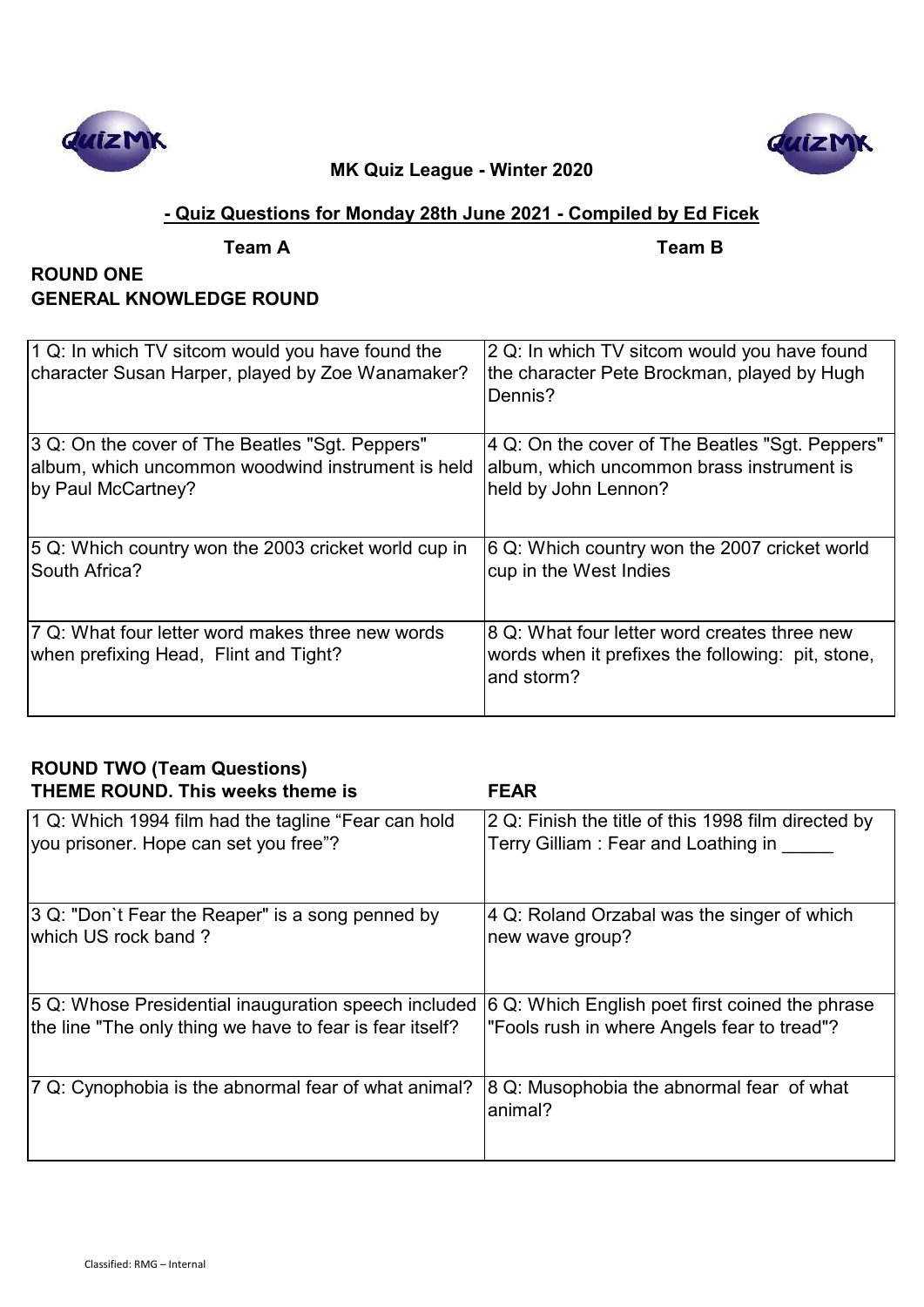



## **- Quiz Questions for Monday 28th June 2021 - Compiled by Ed Ficek**

**Team A Team B**

# **ROUND ONE GENERAL KNOWLEDGE ROUND**

| 1 Q: In which TV sitcom would you have found the<br>character Susan Harper, played by Zoe Wanamaker? | 2 Q: In which TV sitcom would you have found<br>the character Pete Brockman, played by Hugh<br>Dennis?          |
|------------------------------------------------------------------------------------------------------|-----------------------------------------------------------------------------------------------------------------|
| 3 Q: On the cover of The Beatles "Sgt. Peppers"                                                      | 4 Q: On the cover of The Beatles "Sgt. Peppers"                                                                 |
| album, which uncommon woodwind instrument is held                                                    | album, which uncommon brass instrument is                                                                       |
| by Paul McCartney?                                                                                   | held by John Lennon?                                                                                            |
| 5 Q: Which country won the 2003 cricket world cup in                                                 | 6 Q: Which country won the 2007 cricket world                                                                   |
| South Africa?                                                                                        | cup in the West Indies                                                                                          |
| 7 Q: What four letter word makes three new words<br>when prefixing Head, Flint and Tight?            | 8 Q: What four letter word creates three new<br>words when it prefixes the following: pit, stone,<br>and storm? |

| <b>ROUND TWO (Team Questions)</b><br><b>THEME ROUND. This weeks theme is</b> | <b>FEAR</b>                                          |
|------------------------------------------------------------------------------|------------------------------------------------------|
| 1 Q: Which 1994 film had the tagline "Fear can hold                          | 2 Q: Finish the title of this 1998 film directed by  |
| you prisoner. Hope can set you free"?                                        | Terry Gilliam: Fear and Loathing in                  |
| 3 Q: "Don`t Fear the Reaper" is a song penned by                             | 4 Q: Roland Orzabal was the singer of which          |
| which US rock band?                                                          | new wave group?                                      |
| 5 Q: Whose Presidential inauguration speech included                         | 6 Q: Which English poet first coined the phrase      |
| the line "The only thing we have to fear is fear itself?                     | "Fools rush in where Angels fear to tread"?          |
| 7 Q: Cynophobia is the abnormal fear of what animal?                         | 8 Q: Musophobia the abnormal fear of what<br>animal? |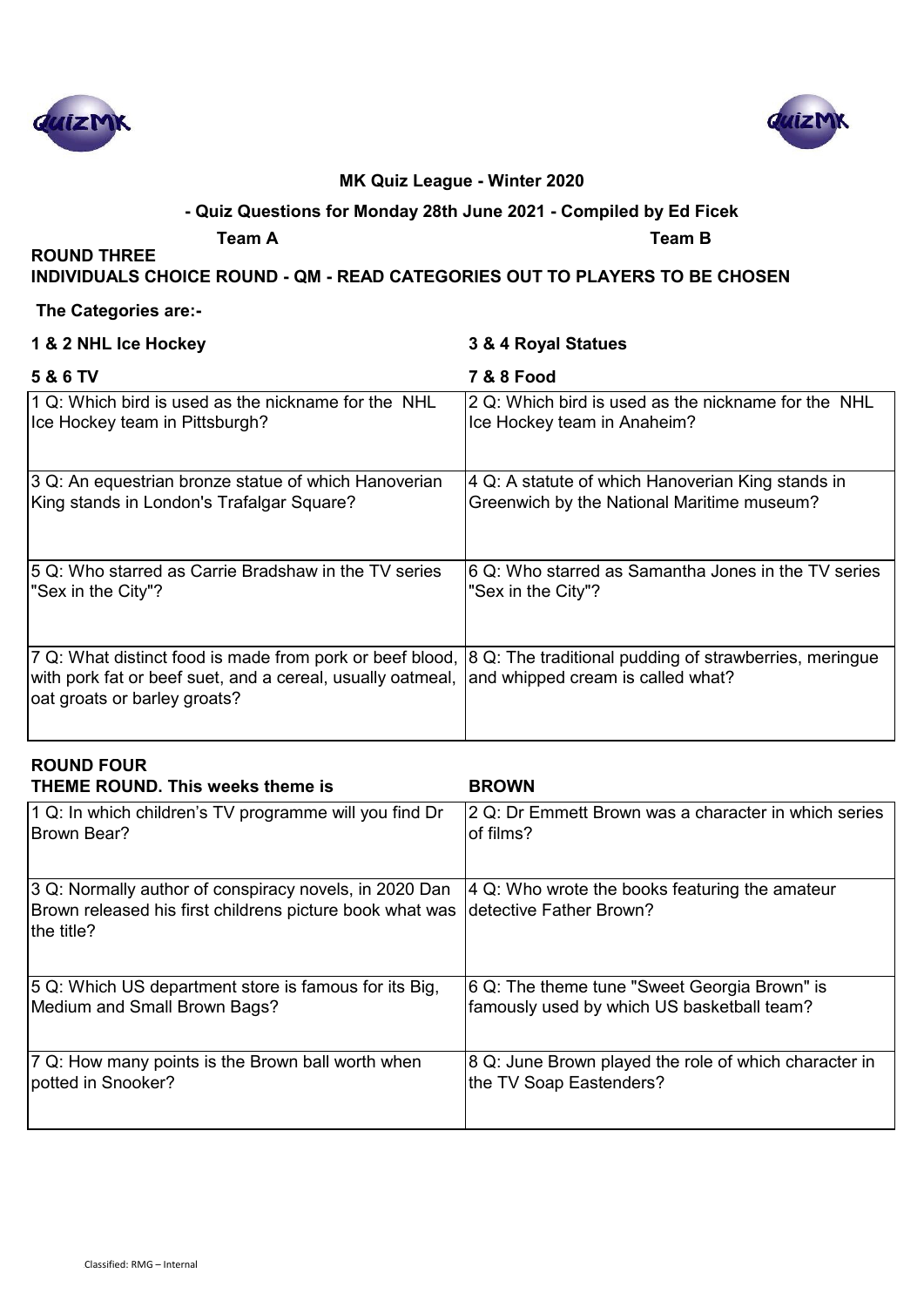



### **- Quiz Questions for Monday 28th June 2021 - Compiled by Ed Ficek**

**ROUND THREE** 

**Team A Team B**

**INDIVIDUALS CHOICE ROUND - QM - READ CATEGORIES OUT TO PLAYERS TO BE CHOSEN**

#### **The Categories are:-**

| 1 & 2 NHL Ice Hockey                                                                                                                                   | 3 & 4 Royal Statues                                                                         |
|--------------------------------------------------------------------------------------------------------------------------------------------------------|---------------------------------------------------------------------------------------------|
| 5 & 6 TV                                                                                                                                               | <b>7 &amp; 8 Food</b>                                                                       |
| 1 Q: Which bird is used as the nickname for the NHL                                                                                                    | 2 Q: Which bird is used as the nickname for the NHL                                         |
| Ice Hockey team in Pittsburgh?                                                                                                                         | Ice Hockey team in Anaheim?                                                                 |
| 3 Q: An equestrian bronze statue of which Hanoverian                                                                                                   | 4 Q: A statute of which Hanoverian King stands in                                           |
| King stands in London's Trafalgar Square?                                                                                                              | Greenwich by the National Maritime museum?                                                  |
| 5 Q: Who starred as Carrie Bradshaw in the TV series                                                                                                   | 6 Q: Who starred as Samantha Jones in the TV series                                         |
| "Sex in the City"?                                                                                                                                     | "Sex in the City"?                                                                          |
| 7 Q: What distinct food is made from pork or beef blood,<br>with pork fat or beef suet, and a cereal, usually oatmeal,<br>oat groats or barley groats? | 8 Q: The traditional pudding of strawberries, meringue<br>and whipped cream is called what? |

# **ROUND FOUR**

| <b>THEME ROUND. This weeks theme is</b>                                                                                          | <b>BROWN</b>                                                               |
|----------------------------------------------------------------------------------------------------------------------------------|----------------------------------------------------------------------------|
| 1 Q: In which children's TV programme will you find Dr                                                                           | 2 Q: Dr Emmett Brown was a character in which series                       |
| Brown Bear?                                                                                                                      | of films?                                                                  |
| 3 Q: Normally author of conspiracy novels, in 2020 Dan<br>Brown released his first childrens picture book what was<br>the title? | 4 Q: Who wrote the books featuring the amateur<br>Idetective Father Brown? |
| 5 Q: Which US department store is famous for its Big,                                                                            | 6 Q: The theme tune "Sweet Georgia Brown" is                               |
| Medium and Small Brown Bags?                                                                                                     | famously used by which US basketball team?                                 |
| 7 Q: How many points is the Brown ball worth when                                                                                | 8 Q: June Brown played the role of which character in                      |
| potted in Snooker?                                                                                                               | the TV Soap Eastenders?                                                    |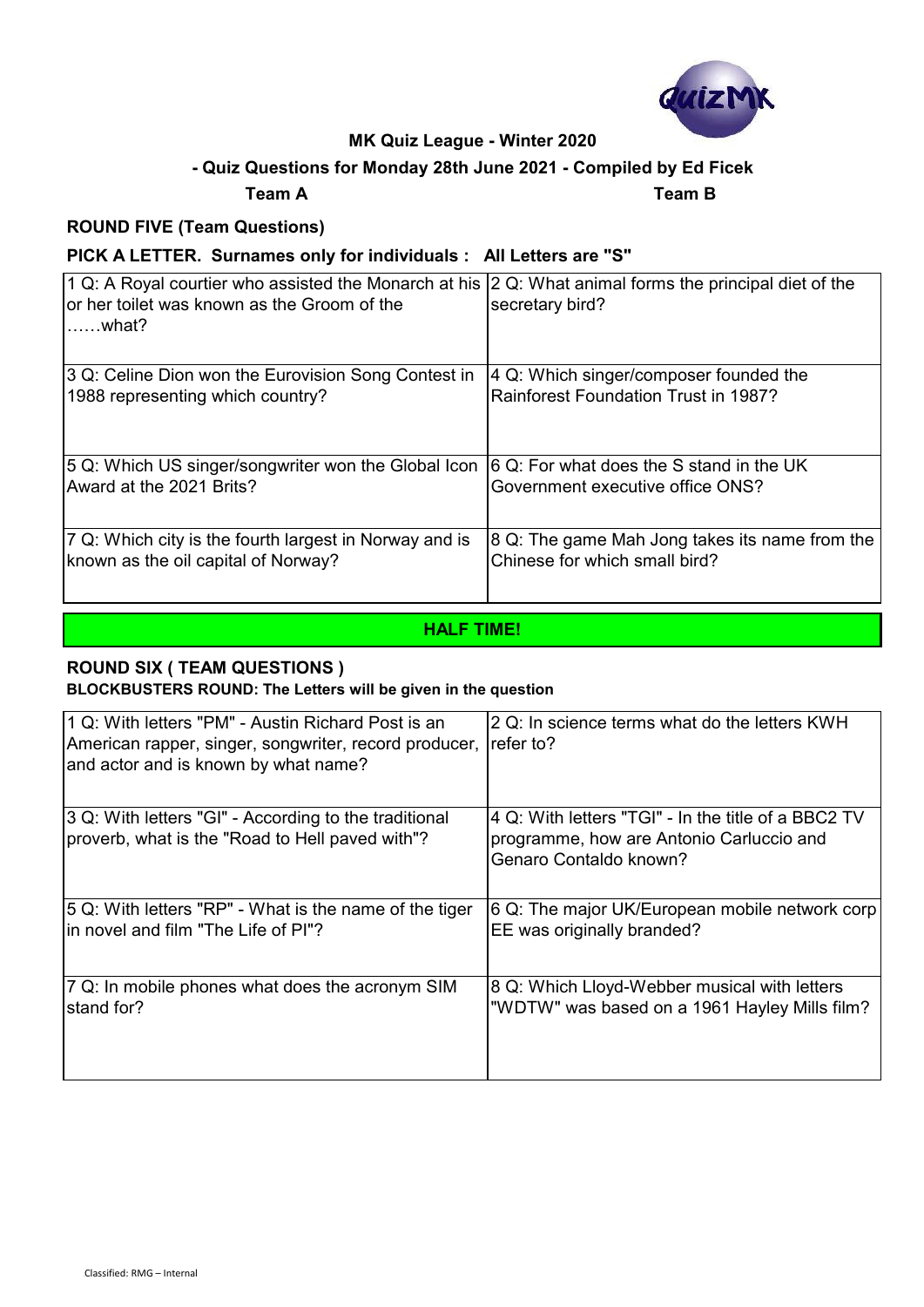

## **- Quiz Questions for Monday 28th June 2021 - Compiled by Ed Ficek**

#### **Team A Team B**

### **ROUND FIVE (Team Questions)**

### **PICK A LETTER. Surnames only for individuals : All Letters are "S"**

| 1 Q: A Royal courtier who assisted the Monarch at his<br>or her toilet was known as the Groom of the<br>$\ldots$ .what? | 2 Q: What animal forms the principal diet of the<br>secretary bird? |
|-------------------------------------------------------------------------------------------------------------------------|---------------------------------------------------------------------|
| 3 Q: Celine Dion won the Eurovision Song Contest in                                                                     | 4 Q: Which singer/composer founded the                              |
| 1988 representing which country?                                                                                        | <b>Rainforest Foundation Trust in 1987?</b>                         |
| 5 Q: Which US singer/songwriter won the Global Icon                                                                     | 6 Q: For what does the S stand in the UK                            |
| Award at the 2021 Brits?                                                                                                | Government executive office ONS?                                    |
| 7 Q: Which city is the fourth largest in Norway and is                                                                  | 8 Q: The game Mah Jong takes its name from the                      |
| known as the oil capital of Norway?                                                                                     | Chinese for which small bird?                                       |

#### **HALF TIME!**

#### **ROUND SIX ( TEAM QUESTIONS )**

#### **BLOCKBUSTERS ROUND: The Letters will be given in the question**

| 1 Q: With letters "PM" - Austin Richard Post is an<br>American rapper, singer, songwriter, record producer,<br>and actor and is known by what name? | 2 Q: In science terms what do the letters KWH<br>lrefer to?                                                               |
|-----------------------------------------------------------------------------------------------------------------------------------------------------|---------------------------------------------------------------------------------------------------------------------------|
| 3 Q: With letters "GI" - According to the traditional<br>proverb, what is the "Road to Hell paved with"?                                            | 4 Q: With letters "TGI" - In the title of a BBC2 TV<br>programme, how are Antonio Carluccio and<br>Genaro Contaldo known? |
| 5 Q: With letters "RP" - What is the name of the tiger                                                                                              | 6 Q: The major UK/European mobile network corp                                                                            |
| lin novel and film "The Life of PI"?                                                                                                                | EE was originally branded?                                                                                                |
| 7 Q: In mobile phones what does the acronym SIM                                                                                                     | 8 Q: Which Lloyd-Webber musical with letters                                                                              |
| stand for?                                                                                                                                          | "WDTW" was based on a 1961 Hayley Mills film?                                                                             |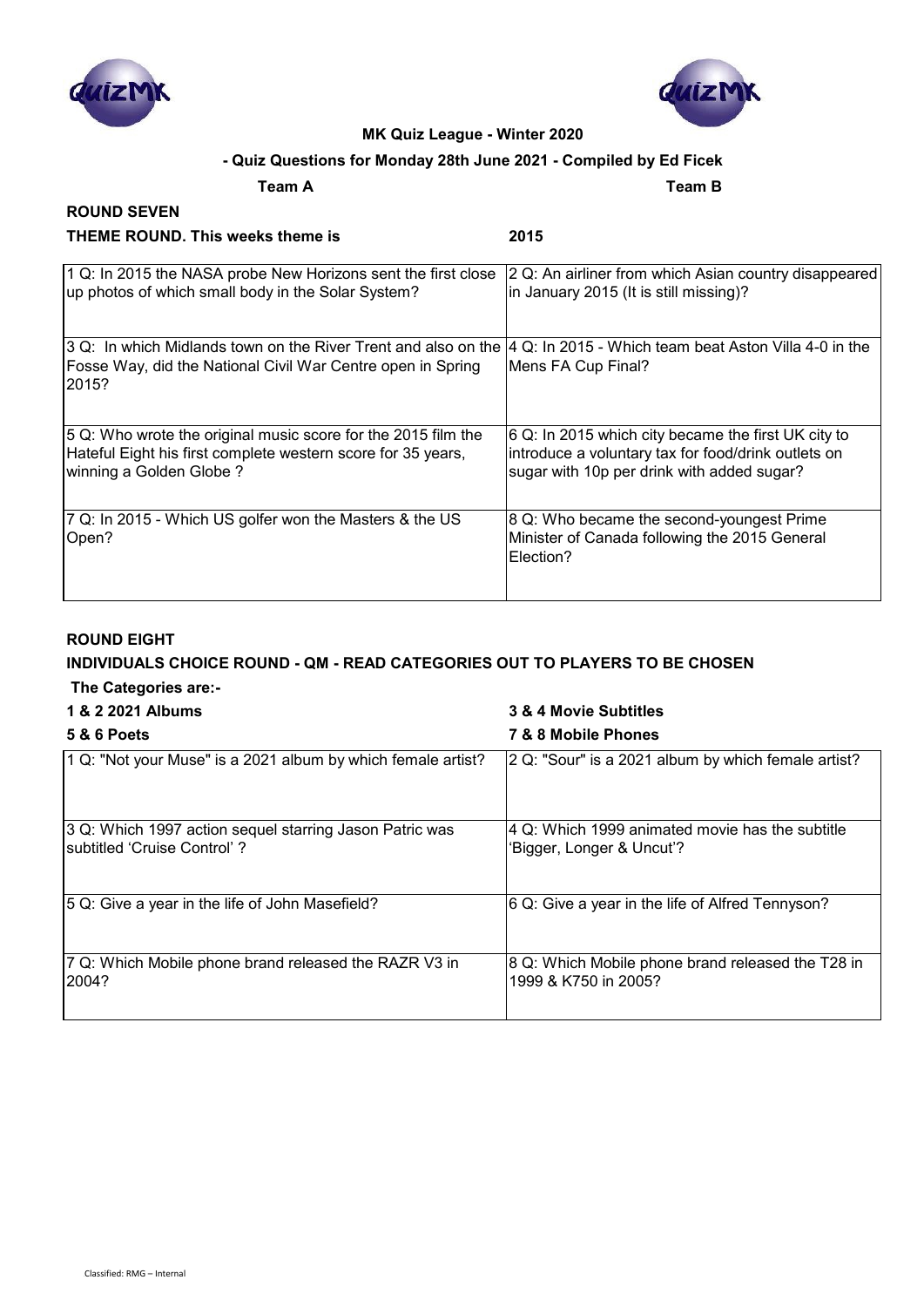



#### **- Quiz Questions for Monday 28th June 2021 - Compiled by Ed Ficek**

**Team A Team B**

#### **ROUND SEVEN THEME ROUND. This weeks theme is 2015**

| 1 Q: In 2015 the NASA probe New Horizons sent the first close                                                                          | 2 Q: An airliner from which Asian country disappeared                                                   |
|----------------------------------------------------------------------------------------------------------------------------------------|---------------------------------------------------------------------------------------------------------|
| up photos of which small body in the Solar System?                                                                                     | in January 2015 (It is still missing)?                                                                  |
| 3 Q: In which Midlands town on the River Trent and also on the<br>Fosse Way, did the National Civil War Centre open in Spring<br>2015? | 4 Q: In 2015 - Which team beat Aston Villa 4-0 in the<br>Mens FA Cup Final?                             |
| 5 Q: Who wrote the original music score for the 2015 film the                                                                          | 6 Q: In 2015 which city became the first UK city to                                                     |
| Hateful Eight his first complete western score for 35 years,                                                                           | introduce a voluntary tax for food/drink outlets on                                                     |
| winning a Golden Globe?                                                                                                                | sugar with 10p per drink with added sugar?                                                              |
| 7 Q: In 2015 - Which US golfer won the Masters & the US<br>Open?                                                                       | 8 Q: Who became the second-youngest Prime<br>Minister of Canada following the 2015 General<br>Election? |

#### **ROUND EIGHT**

## **INDIVIDUALS CHOICE ROUND - QM - READ CATEGORIES OUT TO PLAYERS TO BE CHOSEN**

### **The Categories are:-**

## **1 & 2 2021 Albums 3 & 4 Movie Subtitles 5 & 6 Poets 7 & 8 Mobile Phones** 1 Q: "Not your Muse" is a 2021 album by which female artist? 2 Q: "Sour" is a 2021 album by which female artist? 3 Q: Which 1997 action sequel starring Jason Patric was subtitled 'Cruise Control' ? 4 Q: Which 1999 animated movie has the subtitle 'Bigger, Longer & Uncut'? 5 Q: Give a year in the life of John Masefield? 6 Q: Give a year in the life of Alfred Tennyson? 7 Q: Which Mobile phone brand released the RAZR V3 in 2004? 8 Q: Which Mobile phone brand released the T28 in 1999 & K750 in 2005?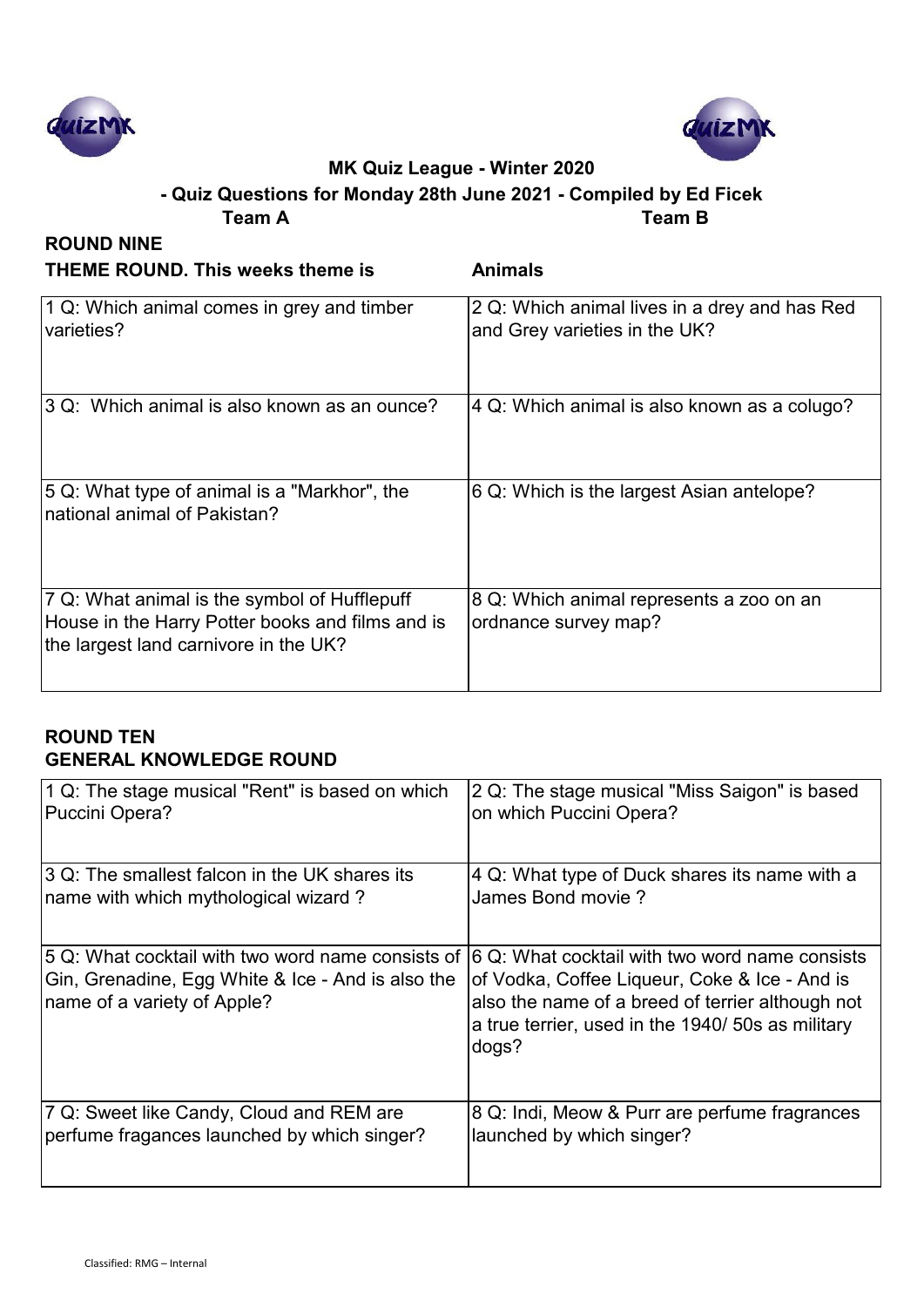



**Team A Team B - Quiz Questions for Monday 28th June 2021 - Compiled by Ed Ficek**

| <b>ROUND NINE</b>                                                                                                                         |                                                                                |
|-------------------------------------------------------------------------------------------------------------------------------------------|--------------------------------------------------------------------------------|
| <b>THEME ROUND. This weeks theme is</b>                                                                                                   | <b>Animals</b>                                                                 |
| 1 Q: Which animal comes in grey and timber<br>varieties?                                                                                  | 2 Q: Which animal lives in a drey and has Red<br>and Grey varieties in the UK? |
| 3 Q: Which animal is also known as an ounce?                                                                                              | 4 Q: Which animal is also known as a colugo?                                   |
| 5 Q: What type of animal is a "Markhor", the<br>Inational animal of Pakistan?                                                             | 6 Q: Which is the largest Asian antelope?                                      |
| 7 Q: What animal is the symbol of Hufflepuff<br>House in the Harry Potter books and films and is<br>the largest land carnivore in the UK? | 8 Q: Which animal represents a zoo on an<br>ordnance survey map?               |

## **ROUND TEN GENERAL KNOWLEDGE ROUND**

| 1 Q: The stage musical "Rent" is based on which                                                                                       | 2 Q: The stage musical "Miss Saigon" is based                                                                                                                                                                     |
|---------------------------------------------------------------------------------------------------------------------------------------|-------------------------------------------------------------------------------------------------------------------------------------------------------------------------------------------------------------------|
| Puccini Opera?                                                                                                                        | on which Puccini Opera?                                                                                                                                                                                           |
| 3 Q: The smallest falcon in the UK shares its                                                                                         | 4 Q: What type of Duck shares its name with a                                                                                                                                                                     |
| name with which mythological wizard?                                                                                                  | James Bond movie?                                                                                                                                                                                                 |
| 5 Q: What cocktail with two word name consists of<br>Gin, Grenadine, Egg White & Ice - And is also the<br>name of a variety of Apple? | 6 Q: What cocktail with two word name consists<br>of Vodka, Coffee Liqueur, Coke & Ice - And is<br>also the name of a breed of terrier although not<br>a true terrier, used in the 1940/ 50s as military<br>dogs? |
| 7 Q: Sweet like Candy, Cloud and REM are                                                                                              | 8 Q: Indi, Meow & Purr are perfume fragrances                                                                                                                                                                     |
| perfume fragances launched by which singer?                                                                                           | launched by which singer?                                                                                                                                                                                         |